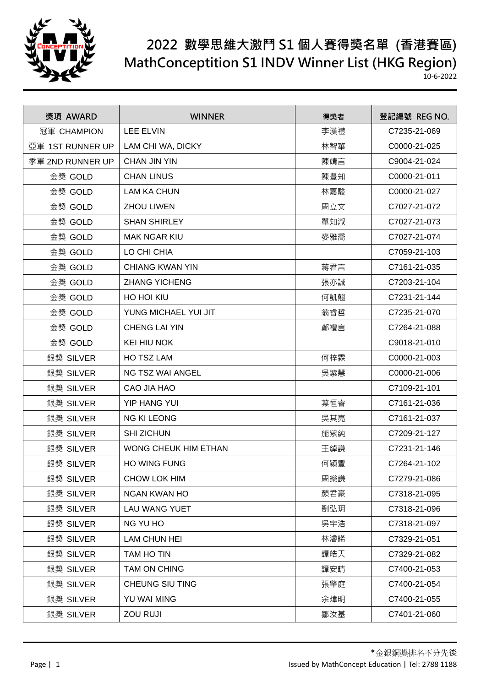

## **2022 數學思維大激鬥 S1 個人賽得獎名單 (香港賽區) MathConceptition S1 INDV Winner List (HKG Region)**

10-6-2022

| 獎項 AWARD         | <b>WINNER</b>          | 得獎者 | 登記編號 REG NO. |
|------------------|------------------------|-----|--------------|
| 冠軍 CHAMPION      | <b>LEE ELVIN</b>       | 李漢禮 | C7235-21-069 |
| 亞軍 1ST RUNNER UP | LAM CHI WA, DICKY      | 林智華 | C0000-21-025 |
| 季軍 2ND RUNNER UP | <b>CHAN JIN YIN</b>    | 陳靖言 | C9004-21-024 |
| 金獎 GOLD          | <b>CHAN LINUS</b>      | 陳豊知 | C0000-21-011 |
| 金獎 GOLD          | <b>LAM KA CHUN</b>     | 林嘉駿 | C0000-21-027 |
| 金獎 GOLD          | <b>ZHOU LIWEN</b>      | 周立文 | C7027-21-072 |
| 金獎 GOLD          | <b>SHAN SHIRLEY</b>    | 單知淑 | C7027-21-073 |
| 金獎 GOLD          | <b>MAK NGAR KIU</b>    | 麥雅喬 | C7027-21-074 |
| 金獎 GOLD          | LO CHI CHIA            |     | C7059-21-103 |
| 金獎 GOLD          | <b>CHIANG KWAN YIN</b> | 蔣君言 | C7161-21-035 |
| 金獎 GOLD          | <b>ZHANG YICHENG</b>   | 張亦誠 | C7203-21-104 |
| 金獎 GOLD          | HO HOI KIU             | 何凱翹 | C7231-21-144 |
| 金獎 GOLD          | YUNG MICHAEL YUI JIT   | 翁睿哲 | C7235-21-070 |
| 金獎 GOLD          | <b>CHENG LAI YIN</b>   | 鄭禮言 | C7264-21-088 |
| 金獎 GOLD          | <b>KEI HIU NOK</b>     |     | C9018-21-010 |
| 銀獎 SILVER        | HO TSZ LAM             | 何梓霖 | C0000-21-003 |
| 銀獎 SILVER        | NG TSZ WAI ANGEL       | 吳紫慧 | C0000-21-006 |
| 銀獎 SILVER        | CAO JIA HAO            |     | C7109-21-101 |
| 銀獎 SILVER        | YIP HANG YUI           | 葉恒睿 | C7161-21-036 |
| 銀獎 SILVER        | <b>NG KI LEONG</b>     | 吳其亮 | C7161-21-037 |
| 銀獎 SILVER        | <b>SHI ZICHUN</b>      | 施紫純 | C7209-21-127 |
| 銀獎 SILVER        | WONG CHEUK HIM ETHAN   | 王綽謙 | C7231-21-146 |
| 銀獎 SILVER        | <b>HO WING FUNG</b>    | 何穎豐 | C7264-21-102 |
| 銀獎 SILVER        | CHOW LOK HIM           | 周樂謙 | C7279-21-086 |
| 銀獎 SILVER        | NGAN KWAN HO           | 顏君豪 | C7318-21-095 |
| 銀獎 SILVER        | LAU WANG YUET          | 劉弘玥 | C7318-21-096 |
| 銀獎 SILVER        | NG YU HO               | 吳宇浩 | C7318-21-097 |
| 銀獎 SILVER        | <b>LAM CHUN HEI</b>    | 林濬晞 | C7329-21-051 |
| 銀獎 SILVER        | TAM HO TIN             | 譚皓天 | C7329-21-082 |
| 銀獎 SILVER        | TAM ON CHING           | 譚安晴 | C7400-21-053 |
| 銀獎 SILVER        | CHEUNG SIU TING        | 張肇庭 | C7400-21-054 |
| 銀獎 SILVER        | YU WAI MING            | 余煒明 | C7400-21-055 |
| 銀獎 SILVER        | ZOU RUJI               | 鄒汝基 | C7401-21-060 |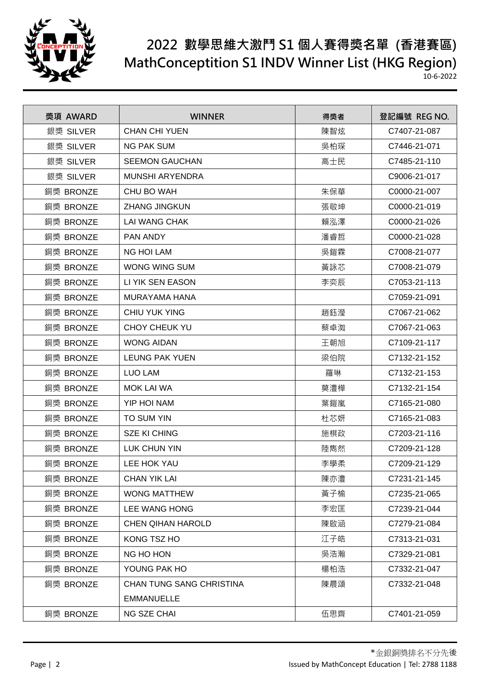

## **2022 數學思維大激鬥 S1 個人賽得獎名單 (香港賽區) MathConceptition S1 INDV Winner List (HKG Region)**

10-6-2022

| 獎項 AWARD  | <b>WINNER</b>            | 得獎者 | 登記編號 REG NO. |
|-----------|--------------------------|-----|--------------|
| 銀獎 SILVER | <b>CHAN CHI YUEN</b>     | 陳智炫 | C7407-21-087 |
| 銀獎 SILVER | <b>NG PAK SUM</b>        | 吳柏琛 | C7446-21-071 |
| 銀獎 SILVER | <b>SEEMON GAUCHAN</b>    | 高士民 | C7485-21-110 |
| 銀獎 SILVER | <b>MUNSHI ARYENDRA</b>   |     | C9006-21-017 |
| 銅獎 BRONZE | CHU BO WAH               | 朱保華 | C0000-21-007 |
| 銅獎 BRONZE | <b>ZHANG JINGKUN</b>     | 張敬坤 | C0000-21-019 |
| 銅獎 BRONZE | <b>LAI WANG CHAK</b>     | 賴泓澤 | C0000-21-026 |
| 銅獎 BRONZE | PAN ANDY                 | 潘睿哲 | C0000-21-028 |
| 銅獎 BRONZE | <b>NG HOI LAM</b>        | 吳鎧霖 | C7008-21-077 |
| 銅獎 BRONZE | <b>WONG WING SUM</b>     | 黃詠芯 | C7008-21-079 |
| 銅獎 BRONZE | LI YIK SEN EASON         | 李奕辰 | C7053-21-113 |
| 銅獎 BRONZE | <b>MURAYAMA HANA</b>     |     | C7059-21-091 |
| 銅獎 BRONZE | <b>CHIU YUK YING</b>     | 趙鈺瀅 | C7067-21-062 |
| 銅獎 BRONZE | <b>CHOY CHEUK YU</b>     | 蔡卓洳 | C7067-21-063 |
| 銅獎 BRONZE | <b>WONG AIDAN</b>        | 王朝旭 | C7109-21-117 |
| 銅獎 BRONZE | <b>LEUNG PAK YUEN</b>    | 梁伯院 | C7132-21-152 |
| 銅獎 BRONZE | <b>LUO LAM</b>           | 羅琳  | C7132-21-153 |
| 銅獎 BRONZE | <b>MOK LAI WA</b>        | 莫澧樺 | C7132-21-154 |
| 銅獎 BRONZE | YIP HOI NAM              | 葉鎧嵐 | C7165-21-080 |
| 銅獎 BRONZE | TO SUM YIN               | 杜芯妍 | C7165-21-083 |
| 銅獎 BRONZE | <b>SZE KI CHING</b>      | 施棋政 | C7203-21-116 |
| 銅獎 BRONZE | LUK CHUN YIN             | 陸雋然 | C7209-21-128 |
| 銅獎 BRONZE | <b>LEE HOK YAU</b>       | 李學柔 | C7209-21-129 |
| 銅獎 BRONZE | <b>CHAN YIK LAI</b>      | 陳亦澧 | C7231-21-145 |
| 銅獎 BRONZE | <b>WONG MATTHEW</b>      | 黃子榆 | C7235-21-065 |
| 銅獎 BRONZE | LEE WANG HONG            | 李宏匡 | C7239-21-044 |
| 銅獎 BRONZE | <b>CHEN QIHAN HAROLD</b> | 陳啟涵 | C7279-21-084 |
| 銅獎 BRONZE | KONG TSZ HO              | 江子皓 | C7313-21-031 |
| 銅獎 BRONZE | NG HO HON                | 吳浩瀚 | C7329-21-081 |
| 銅獎 BRONZE | YOUNG PAK HO             | 楊柏浩 | C7332-21-047 |
| 銅獎 BRONZE | CHAN TUNG SANG CHRISTINA | 陳晨頌 | C7332-21-048 |
|           | <b>EMMANUELLE</b>        |     |              |
| 銅獎 BRONZE | NG SZE CHAI              | 伍思齊 | C7401-21-059 |